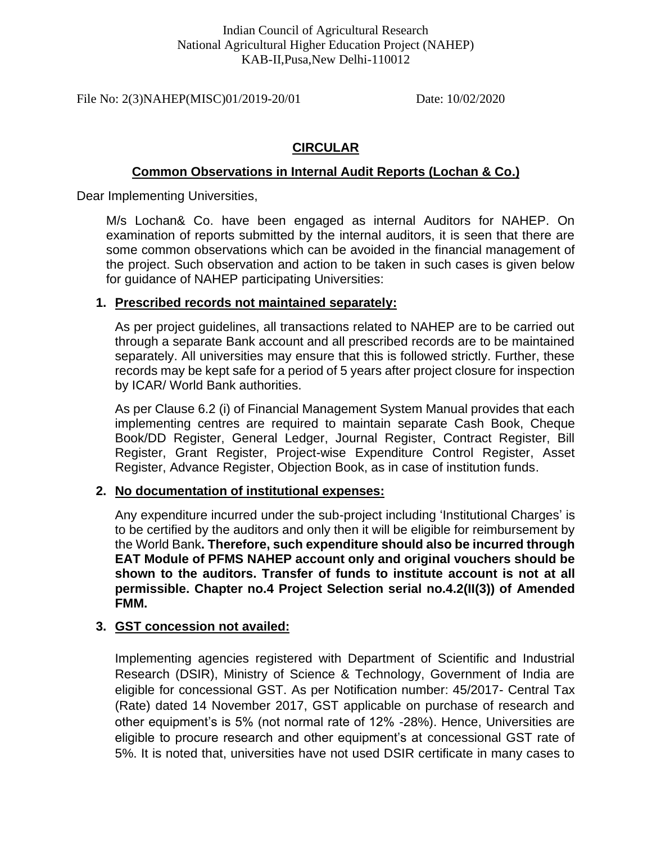File No: 2(3)NAHEP(MISC)01/2019-20/01 Date: 10/02/2020

# **CIRCULAR**

# **Common Observations in Internal Audit Reports (Lochan & Co.)**

Dear Implementing Universities,

M/s Lochan& Co. have been engaged as internal Auditors for NAHEP. On examination of reports submitted by the internal auditors, it is seen that there are some common observations which can be avoided in the financial management of the project. Such observation and action to be taken in such cases is given below for guidance of NAHEP participating Universities:

# **1. Prescribed records not maintained separately:**

As per project guidelines, all transactions related to NAHEP are to be carried out through a separate Bank account and all prescribed records are to be maintained separately. All universities may ensure that this is followed strictly. Further, these records may be kept safe for a period of 5 years after project closure for inspection by ICAR/ World Bank authorities.

As per Clause 6.2 (i) of Financial Management System Manual provides that each implementing centres are required to maintain separate Cash Book, Cheque Book/DD Register, General Ledger, Journal Register, Contract Register, Bill Register, Grant Register, Project-wise Expenditure Control Register, Asset Register, Advance Register, Objection Book, as in case of institution funds.

# **2. No documentation of institutional expenses:**

Any expenditure incurred under the sub-project including 'Institutional Charges' is to be certified by the auditors and only then it will be eligible for reimbursement by the World Bank**. Therefore, such expenditure should also be incurred through EAT Module of PFMS NAHEP account only and original vouchers should be shown to the auditors. Transfer of funds to institute account is not at all permissible. Chapter no.4 Project Selection serial no.4.2(II(3)) of Amended FMM.**

# **3. GST concession not availed:**

Implementing agencies registered with Department of Scientific and Industrial Research (DSIR), Ministry of Science & Technology, Government of India are eligible for concessional GST. As per Notification number: 45/2017- Central Tax (Rate) dated 14 November 2017, GST applicable on purchase of research and other equipment's is 5% (not normal rate of 12% -28%). Hence, Universities are eligible to procure research and other equipment's at concessional GST rate of 5%. It is noted that, universities have not used DSIR certificate in many cases to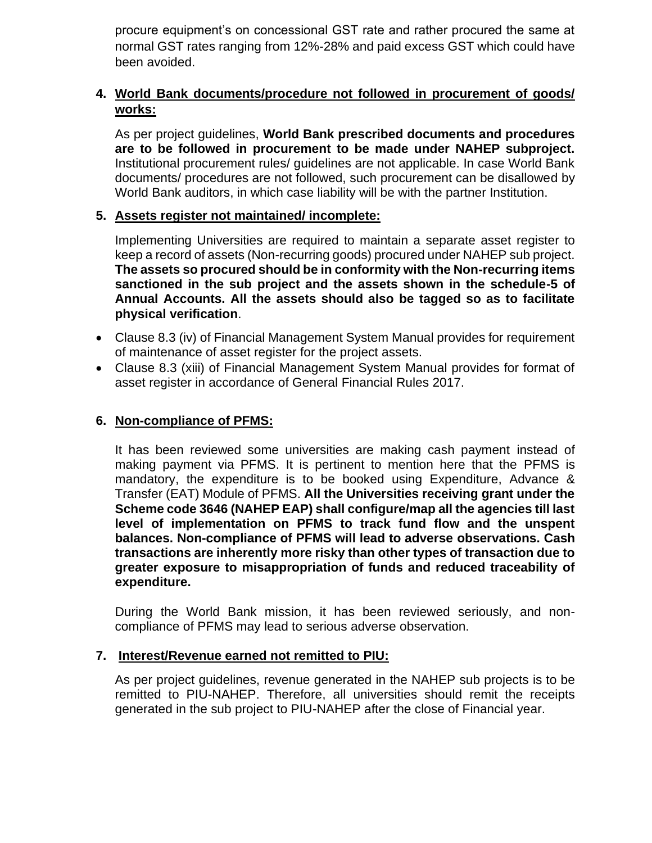procure equipment's on concessional GST rate and rather procured the same at normal GST rates ranging from 12%-28% and paid excess GST which could have been avoided.

# **4. World Bank documents/procedure not followed in procurement of goods/ works:**

As per project guidelines, **World Bank prescribed documents and procedures are to be followed in procurement to be made under NAHEP subproject.** Institutional procurement rules/ guidelines are not applicable. In case World Bank documents/ procedures are not followed, such procurement can be disallowed by World Bank auditors, in which case liability will be with the partner Institution.

### **5. Assets register not maintained/ incomplete:**

Implementing Universities are required to maintain a separate asset register to keep a record of assets (Non-recurring goods) procured under NAHEP sub project. **The assets so procured should be in conformity with the Non-recurring items sanctioned in the sub project and the assets shown in the schedule-5 of Annual Accounts. All the assets should also be tagged so as to facilitate physical verification**.

- Clause 8.3 (iv) of Financial Management System Manual provides for requirement of maintenance of asset register for the project assets.
- Clause 8.3 (xiii) of Financial Management System Manual provides for format of asset register in accordance of General Financial Rules 2017.

### **6. Non-compliance of PFMS:**

It has been reviewed some universities are making cash payment instead of making payment via PFMS. It is pertinent to mention here that the PFMS is mandatory, the expenditure is to be booked using Expenditure, Advance & Transfer (EAT) Module of PFMS. **All the Universities receiving grant under the Scheme code 3646 (NAHEP EAP) shall configure/map all the agencies till last level of implementation on PFMS to track fund flow and the unspent balances. Non-compliance of PFMS will lead to adverse observations. Cash transactions are inherently more risky than other types of transaction due to greater exposure to misappropriation of funds and reduced traceability of expenditure.**

During the World Bank mission, it has been reviewed seriously, and noncompliance of PFMS may lead to serious adverse observation.

#### **7. Interest/Revenue earned not remitted to PIU:**

As per project guidelines, revenue generated in the NAHEP sub projects is to be remitted to PIU-NAHEP. Therefore, all universities should remit the receipts generated in the sub project to PIU-NAHEP after the close of Financial year.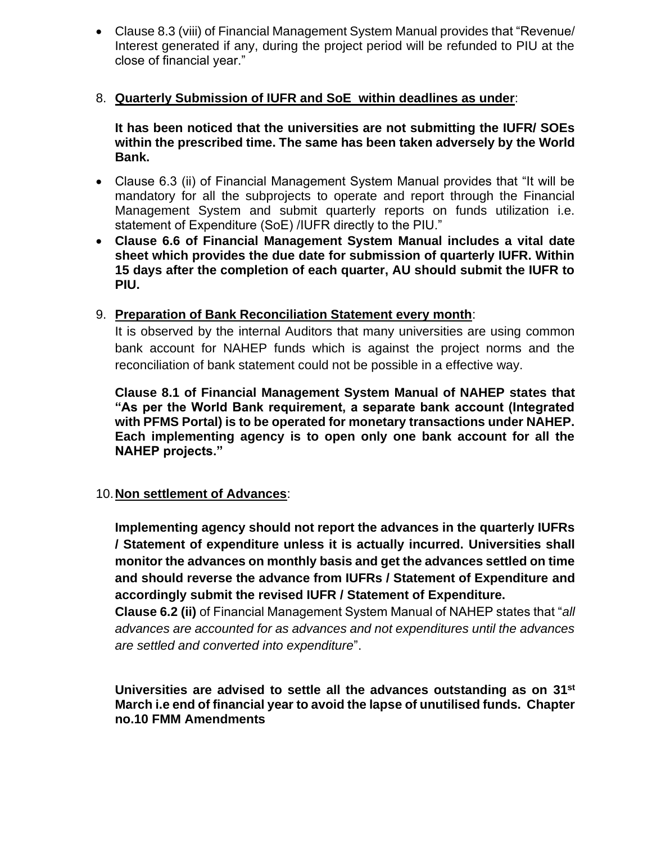• Clause 8.3 (viii) of Financial Management System Manual provides that "Revenue/ Interest generated if any, during the project period will be refunded to PIU at the close of financial year."

#### 8. **Quarterly Submission of IUFR and SoE within deadlines as under**:

**It has been noticed that the universities are not submitting the IUFR/ SOEs within the prescribed time. The same has been taken adversely by the World Bank.** 

- Clause 6.3 (ii) of Financial Management System Manual provides that "It will be mandatory for all the subprojects to operate and report through the Financial Management System and submit quarterly reports on funds utilization i.e. statement of Expenditure (SoE) /IUFR directly to the PIU."
- **Clause 6.6 of Financial Management System Manual includes a vital date sheet which provides the due date for submission of quarterly IUFR. Within 15 days after the completion of each quarter, AU should submit the IUFR to PIU.**
- 9. **Preparation of Bank Reconciliation Statement every month**:

It is observed by the internal Auditors that many universities are using common bank account for NAHEP funds which is against the project norms and the reconciliation of bank statement could not be possible in a effective way.

**Clause 8.1 of Financial Management System Manual of NAHEP states that "As per the World Bank requirement, a separate bank account (Integrated with PFMS Portal) is to be operated for monetary transactions under NAHEP. Each implementing agency is to open only one bank account for all the NAHEP projects."** 

#### 10.**Non settlement of Advances**:

**Implementing agency should not report the advances in the quarterly IUFRs / Statement of expenditure unless it is actually incurred. Universities shall monitor the advances on monthly basis and get the advances settled on time and should reverse the advance from IUFRs / Statement of Expenditure and accordingly submit the revised IUFR / Statement of Expenditure.**

**Clause 6.2 (ii)** of Financial Management System Manual of NAHEP states that "*all advances are accounted for as advances and not expenditures until the advances are settled and converted into expenditure*".

**Universities are advised to settle all the advances outstanding as on 31st March i.e end of financial year to avoid the lapse of unutilised funds. Chapter no.10 FMM Amendments**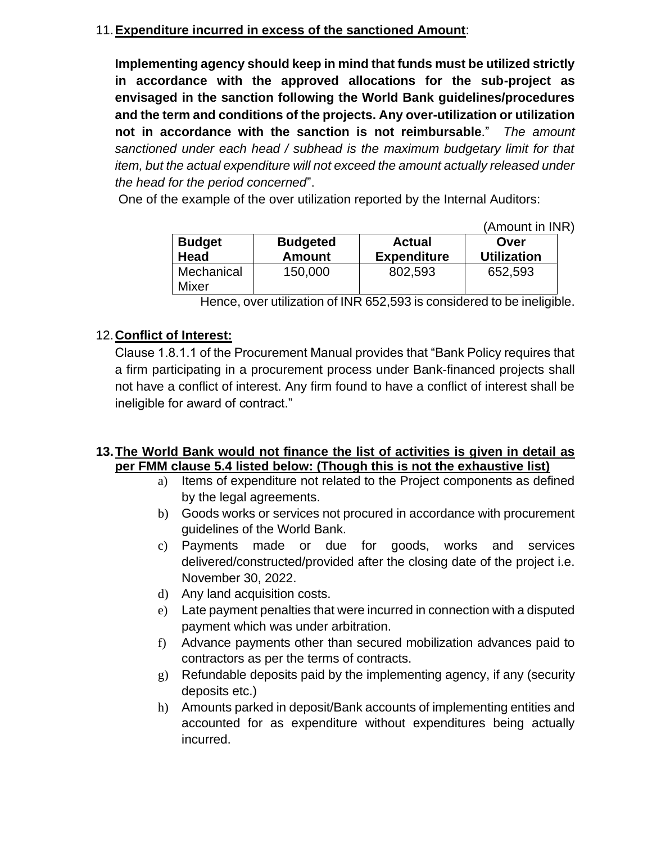# 11.**Expenditure incurred in excess of the sanctioned Amount**:

**Implementing agency should keep in mind that funds must be utilized strictly in accordance with the approved allocations for the sub-project as envisaged in the sanction following the World Bank guidelines/procedures and the term and conditions of the projects. Any over-utilization or utilization not in accordance with the sanction is not reimbursable**." *The amount sanctioned under each head / subhead is the maximum budgetary limit for that item, but the actual expenditure will not exceed the amount actually released under the head for the period concerned*".

One of the example of the over utilization reported by the Internal Auditors:

(Amount in INR)

| <b>Budget</b>              | <b>Budgeted</b> | <b>Actual</b>      | Over               |
|----------------------------|-----------------|--------------------|--------------------|
| <b>Head</b>                | <b>Amount</b>   | <b>Expenditure</b> | <b>Utilization</b> |
| Mechanical<br><b>Mixer</b> | 150,000         | 802,593            | 652,593            |

Hence, over utilization of INR 652,593 is considered to be ineligible.

# 12.**Conflict of Interest:**

Clause 1.8.1.1 of the Procurement Manual provides that "Bank Policy requires that a firm participating in a procurement process under Bank-financed projects shall not have a conflict of interest. Any firm found to have a conflict of interest shall be ineligible for award of contract."

# **13.The World Bank would not finance the list of activities is given in detail as per FMM clause 5.4 listed below: (Though this is not the exhaustive list)**

- a) Items of expenditure not related to the Project components as defined by the legal agreements.
- b) Goods works or services not procured in accordance with procurement guidelines of the World Bank.
- c) Payments made or due for goods, works and services delivered/constructed/provided after the closing date of the project i.e. November 30, 2022.
- d) Any land acquisition costs.
- e) Late payment penalties that were incurred in connection with a disputed payment which was under arbitration.
- f) Advance payments other than secured mobilization advances paid to contractors as per the terms of contracts.
- g) Refundable deposits paid by the implementing agency, if any (security deposits etc.)
- h) Amounts parked in deposit/Bank accounts of implementing entities and accounted for as expenditure without expenditures being actually incurred.